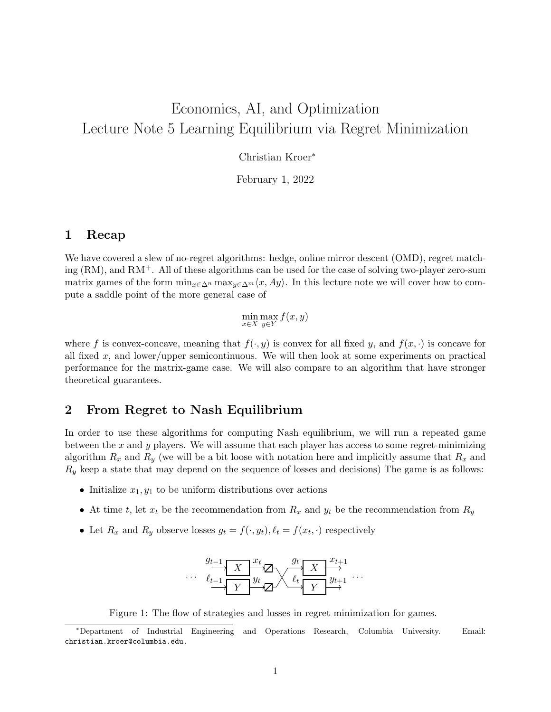# Economics, AI, and Optimization Lecture Note 5 Learning Equilibrium via Regret Minimization

Christian Kroer<sup>∗</sup>

February 1, 2022

#### 1 Recap

We have covered a slew of no-regret algorithms: hedge, online mirror descent (OMD), regret matching  $(RM)$ , and  $RM^+$ . All of these algorithms can be used for the case of solving two-player zero-sum matrix games of the form  $\min_{x \in \Delta^n} \max_{y \in \Delta^m} \langle x, Ay \rangle$ . In this lecture note we will cover how to compute a saddle point of the more general case of

 $\min_{x \in X} \max_{y \in Y} f(x, y)$ 

where f is convex-concave, meaning that  $f(\cdot, y)$  is convex for all fixed y, and  $f(x, \cdot)$  is concave for all fixed  $x$ , and lower/upper semicontinuous. We will then look at some experiments on practical performance for the matrix-game case. We will also compare to an algorithm that have stronger theoretical guarantees.

### 2 From Regret to Nash Equilibrium

In order to use these algorithms for computing Nash equilibrium, we will run a repeated game between the x and y players. We will assume that each player has access to some regret-minimizing algorithm  $R_x$  and  $R_y$  (we will be a bit loose with notation here and implicitly assume that  $R_x$  and  $R_y$  keep a state that may depend on the sequence of losses and decisions) The game is as follows:

- Initialize  $x_1, y_1$  to be uniform distributions over actions
- At time t, let  $x_t$  be the recommendation from  $R_x$  and  $y_t$  be the recommendation from  $R_y$
- Let  $R_x$  and  $R_y$  observe losses  $g_t = f(\cdot, y_t)$ ,  $\ell_t = f(x_t, \cdot)$  respectively



Figure 1: The flow of strategies and losses in regret minimization for games.

<sup>∗</sup>Department of Industrial Engineering and Operations Research, Columbia University. Email: christian.kroer@columbia.edu.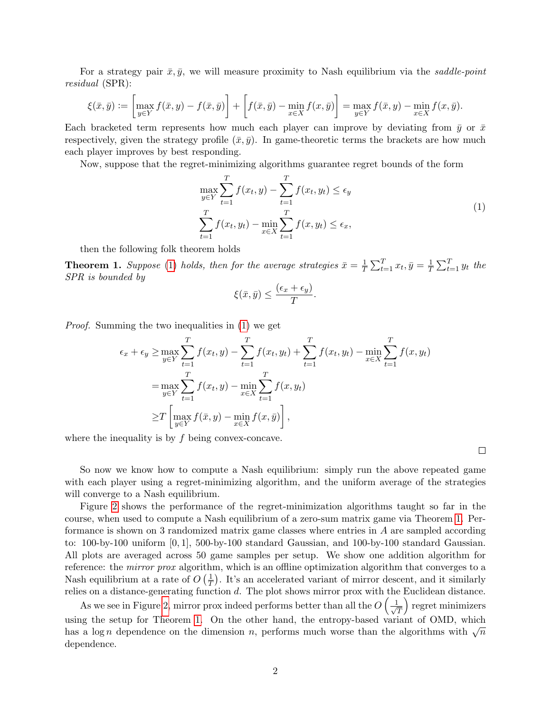For a strategy pair  $\bar{x}, \bar{y}$ , we will measure proximity to Nash equilibrium via the saddle-point residual (SPR):

$$
\xi(\bar{x},\bar{y}) := \left[\max_{y\in Y} f(\bar{x},y) - f(\bar{x},\bar{y})\right] + \left[f(\bar{x},\bar{y}) - \min_{x\in X} f(x,\bar{y})\right] = \max_{y\in Y} f(\bar{x},y) - \min_{x\in X} f(x,\bar{y}).
$$

Each bracketed term represents how much each player can improve by deviating from  $\bar{y}$  or  $\bar{x}$ respectively, given the strategy profile  $(\bar{x}, \bar{y})$ . In game-theoretic terms the brackets are how much each player improves by best responding.

Now, suppose that the regret-minimizing algorithms guarantee regret bounds of the form

<span id="page-1-0"></span>
$$
\max_{y \in Y} \sum_{t=1}^{T} f(x_t, y) - \sum_{t=1}^{T} f(x_t, y_t) \le \epsilon_y
$$
\n
$$
\sum_{t=1}^{T} f(x_t, y_t) - \min_{x \in X} \sum_{t=1}^{T} f(x, y_t) \le \epsilon_x,
$$
\n(1)

then the following folk theorem holds

<span id="page-1-1"></span>**Theorem 1.** Suppose [\(1\)](#page-1-0) holds, then for the average strategies  $\bar{x} = \frac{1}{7}$  $\frac{1}{T} \sum_{t=1}^T x_t, \bar{y} = \frac{1}{T}$  $\frac{1}{T} \sum_{t=1}^{T} y_t$  the SPR is bounded by

$$
\xi(\bar{x}, \bar{y}) \le \frac{(\epsilon_x + \epsilon_y)}{T}.
$$

Proof. Summing the two inequalities in [\(1\)](#page-1-0) we get

$$
\epsilon_x + \epsilon_y \ge \max_{y \in Y} \sum_{t=1}^T f(x_t, y) - \sum_{t=1}^T f(x_t, y_t) + \sum_{t=1}^T f(x_t, y_t) - \min_{x \in X} \sum_{t=1}^T f(x, y_t)
$$
  
= 
$$
\max_{y \in Y} \sum_{t=1}^T f(x_t, y) - \min_{x \in X} \sum_{t=1}^T f(x, y_t)
$$
  

$$
\ge T \left[ \max_{y \in Y} f(\bar{x}, y) - \min_{x \in X} f(x, \bar{y}) \right],
$$

where the inequality is by  $f$  being convex-concave.

So now we know how to compute a Nash equilibrium: simply run the above repeated game with each player using a regret-minimizing algorithm, and the uniform average of the strategies will converge to a Nash equilibrium.

Figure [2](#page-2-0) shows the performance of the regret-minimization algorithms taught so far in the course, when used to compute a Nash equilibrium of a zero-sum matrix game via Theorem [1.](#page-1-1) Performance is shown on 3 randomized matrix game classes where entries in A are sampled according to: 100-by-100 uniform [0, 1], 500-by-100 standard Gaussian, and 100-by-100 standard Gaussian. All plots are averaged across 50 game samples per setup. We show one addition algorithm for reference: the *mirror prox* algorithm, which is an offline optimization algorithm that converges to a Nash equilibrium at a rate of  $O\left(\frac{1}{7}\right)$  $(\frac{1}{T})$ . It's an accelerated variant of mirror descent, and it similarly relies on a distance-generating function d. The plot shows mirror prox with the Euclidean distance.

As we see in Figure [2,](#page-2-0) mirror prox indeed performs better than all the  $O\left(\frac{1}{\sqrt{2}}\right)$ T regret minimizers using the setup for Theorem [1.](#page-1-1) On the other hand, the entropy-based variant of OMD, which has a log *n* dependence on the dimension *n*, performs much worse than the algorithms with  $\sqrt{n}$ dependence.

 $\Box$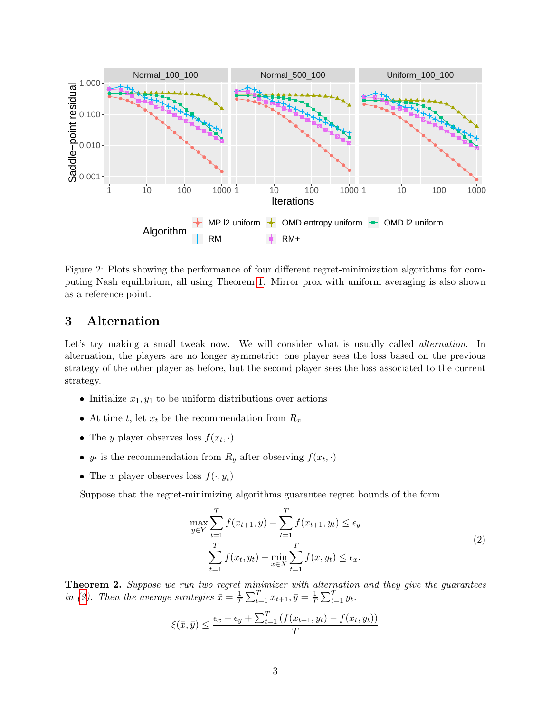

<span id="page-2-0"></span>Figure 2: Plots showing the performance of four different regret-minimization algorithms for computing Nash equilibrium, all using Theorem [1.](#page-1-1) Mirror prox with uniform averaging is also shown as a reference point.

## 3 Alternation

Let's try making a small tweak now. We will consider what is usually called *alternation*. In alternation, the players are no longer symmetric: one player sees the loss based on the previous strategy of the other player as before, but the second player sees the loss associated to the current strategy.

- Initialize  $x_1, y_1$  to be uniform distributions over actions
- At time t, let  $x_t$  be the recommendation from  $R_x$
- The *y* player observes loss  $f(x_t, \cdot)$
- $y_t$  is the recommendation from  $R_y$  after observing  $f(x_t, \cdot)$
- The x player observes loss  $f(\cdot, y_t)$

Suppose that the regret-minimizing algorithms guarantee regret bounds of the form

<span id="page-2-1"></span>
$$
\max_{y \in Y} \sum_{t=1}^{T} f(x_{t+1}, y) - \sum_{t=1}^{T} f(x_{t+1}, y_t) \le \epsilon_y
$$
\n
$$
\sum_{t=1}^{T} f(x_t, y_t) - \min_{x \in X} \sum_{t=1}^{T} f(x, y_t) \le \epsilon_x.
$$
\n(2)

<span id="page-2-2"></span>**Theorem 2.** Suppose we run two regret minimizer with alternation and they give the guarantees in [\(2\)](#page-2-1). Then the average strategies  $\bar{x} = \frac{1}{7}$  $\frac{1}{T} \sum_{t=1}^{T} x_{t+1}, \bar{y} = \frac{1}{T}$  $\frac{1}{T} \sum_{t=1}^T y_t$ .

$$
\xi(\bar{x}, \bar{y}) \le \frac{\epsilon_x + \epsilon_y + \sum_{t=1}^T \left( f(x_{t+1}, y_t) - f(x_t, y_t) \right)}{T}
$$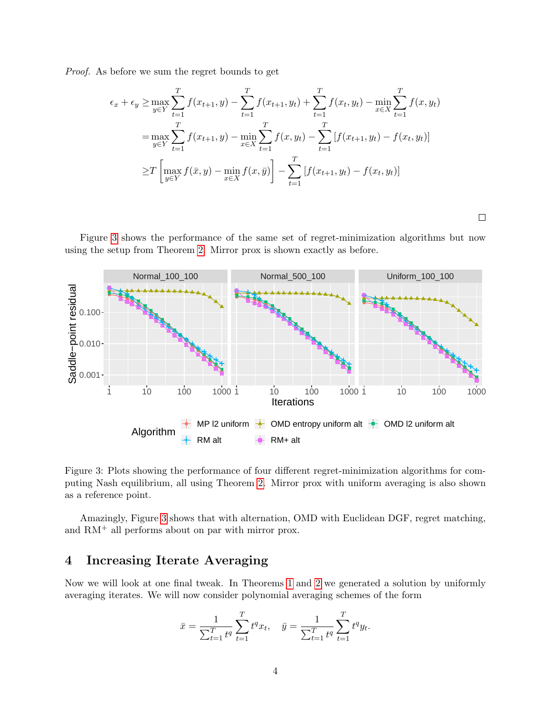Proof. As before we sum the regret bounds to get

$$
\epsilon_x + \epsilon_y \ge \max_{y \in Y} \sum_{t=1}^T f(x_{t+1}, y) - \sum_{t=1}^T f(x_{t+1}, y_t) + \sum_{t=1}^T f(x_t, y_t) - \min_{x \in X} \sum_{t=1}^T f(x, y_t)
$$

$$
= \max_{y \in Y} \sum_{t=1}^T f(x_{t+1}, y) - \min_{x \in X} \sum_{t=1}^T f(x, y_t) - \sum_{t=1}^T [f(x_{t+1}, y_t) - f(x_t, y_t)]
$$

$$
\ge T \left[ \max_{y \in Y} f(\bar{x}, y) - \min_{x \in X} f(x, \bar{y}) \right] - \sum_{t=1}^T [f(x_{t+1}, y_t) - f(x_t, y_t)]
$$

 $\Box$ 

Figure [3](#page-3-0) shows the performance of the same set of regret-minimization algorithms but now using the setup from Theorem [2.](#page-2-2) Mirror prox is shown exactly as before.



<span id="page-3-0"></span>Figure 3: Plots showing the performance of four different regret-minimization algorithms for computing Nash equilibrium, all using Theorem [2.](#page-2-2) Mirror prox with uniform averaging is also shown as a reference point.

Amazingly, Figure [3](#page-3-0) shows that with alternation, OMD with Euclidean DGF, regret matching, and  $RM^+$  all performs about on par with mirror prox.

# 4 Increasing Iterate Averaging

Now we will look at one final tweak. In Theorems [1](#page-1-1) and [2](#page-2-2) we generated a solution by uniformly averaging iterates. We will now consider polynomial averaging schemes of the form

$$
\bar{x} = \frac{1}{\sum_{t=1}^{T} t^q} \sum_{t=1}^{T} t^q x_t, \quad \bar{y} = \frac{1}{\sum_{t=1}^{T} t^q} \sum_{t=1}^{T} t^q y_t.
$$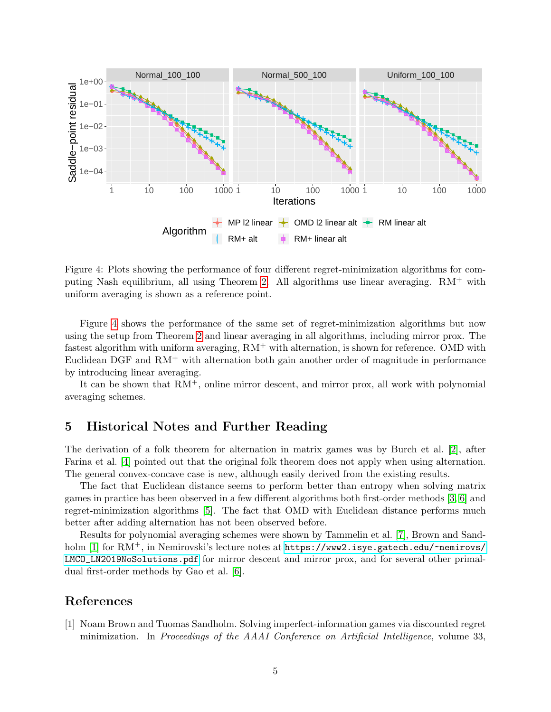

<span id="page-4-0"></span>Figure 4: Plots showing the performance of four different regret-minimization algorithms for com-puting Nash equilibrium, all using Theorem [2.](#page-2-2) All algorithms use linear averaging.  $RM^+$  with uniform averaging is shown as a reference point.

Figure [4](#page-4-0) shows the performance of the same set of regret-minimization algorithms but now using the setup from Theorem [2](#page-2-2) and linear averaging in all algorithms, including mirror prox. The fastest algorithm with uniform averaging,  $RM^+$  with alternation, is shown for reference. OMD with Euclidean DGF and  $RM^+$  with alternation both gain another order of magnitude in performance by introducing linear averaging.

It can be shown that  $RM^+$ , online mirror descent, and mirror prox, all work with polynomial averaging schemes.

# 5 Historical Notes and Further Reading

The derivation of a folk theorem for alternation in matrix games was by Burch et al. [\[2\]](#page-5-0), after Farina et al. [\[4\]](#page-5-1) pointed out that the original folk theorem does not apply when using alternation. The general convex-concave case is new, although easily derived from the existing results.

The fact that Euclidean distance seems to perform better than entropy when solving matrix games in practice has been observed in a few different algorithms both first-order methods [\[3,](#page-5-2) [6\]](#page-5-3) and regret-minimization algorithms [\[5\]](#page-5-4). The fact that OMD with Euclidean distance performs much better after adding alternation has not been observed before.

Results for polynomial averaging schemes were shown by Tammelin et al. [\[7\]](#page-5-5), Brown and Sand-holm [\[1\]](#page-4-1) for RM<sup>+</sup>, in Nemirovski's lecture notes at [https://www2.isye.gatech.edu/~nemirovs/](https://www2.isye.gatech.edu/~nemirovs/LMCO_LN2019NoSolutions.pdf) [LMCO\\_LN2019NoSolutions.pdf](https://www2.isye.gatech.edu/~nemirovs/LMCO_LN2019NoSolutions.pdf) for mirror descent and mirror prox, and for several other primaldual first-order methods by Gao et al. [\[6\]](#page-5-3).

#### References

<span id="page-4-1"></span>[1] Noam Brown and Tuomas Sandholm. Solving imperfect-information games via discounted regret minimization. In Proceedings of the AAAI Conference on Artificial Intelligence, volume 33,